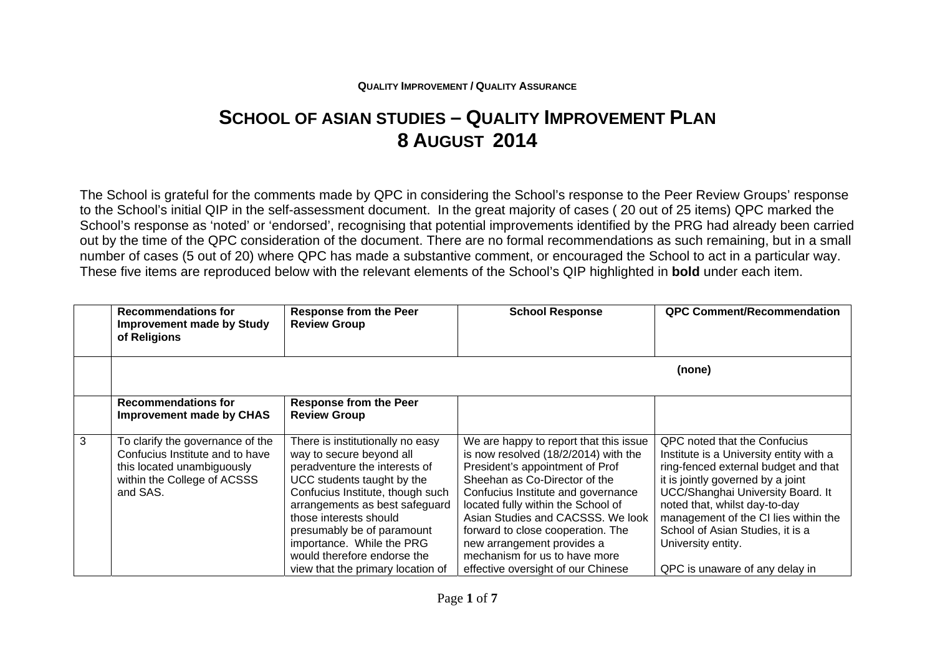## **QUALITY IMPROVEMENT / QUALITY ASSURANCE**

## **SCHOOL OF ASIAN STUDIES – QUALITY IMPROVEMENT PLAN 8 AUGUST 2014**

The School is grateful for the comments made by QPC in considering the School's response to the Peer Review Groups' response to the School's initial QIP in the self-assessment document. In the great majority of cases ( 20 out of 25 items) QPC marked the School's response as 'noted' or 'endorsed', recognising that potential improvements identified by the PRG had already been carried out by the time of the QPC consideration of the document. There are no formal recommendations as such remaining, but in a small number of cases (5 out of 20) where QPC has made a substantive comment, or encouraged the School to act in a particular way. These five items are reproduced below with the relevant elements of the School's QIP highlighted in **bold** under each item.

|   | <b>Recommendations for</b><br><b>Improvement made by Study</b><br>of Religions                                                               | <b>Response from the Peer</b><br><b>Review Group</b>                                                                                                                                                                                                                                                                                                       | <b>School Response</b>                                                                                                                                                                                                                                                                                                                                                                                        | <b>QPC Comment/Recommendation</b>                                                                                                                                                                                                                                                                                                                              |
|---|----------------------------------------------------------------------------------------------------------------------------------------------|------------------------------------------------------------------------------------------------------------------------------------------------------------------------------------------------------------------------------------------------------------------------------------------------------------------------------------------------------------|---------------------------------------------------------------------------------------------------------------------------------------------------------------------------------------------------------------------------------------------------------------------------------------------------------------------------------------------------------------------------------------------------------------|----------------------------------------------------------------------------------------------------------------------------------------------------------------------------------------------------------------------------------------------------------------------------------------------------------------------------------------------------------------|
|   |                                                                                                                                              |                                                                                                                                                                                                                                                                                                                                                            |                                                                                                                                                                                                                                                                                                                                                                                                               | (none)                                                                                                                                                                                                                                                                                                                                                         |
|   | <b>Recommendations for</b><br><b>Improvement made by CHAS</b>                                                                                | <b>Response from the Peer</b><br><b>Review Group</b>                                                                                                                                                                                                                                                                                                       |                                                                                                                                                                                                                                                                                                                                                                                                               |                                                                                                                                                                                                                                                                                                                                                                |
| 3 | To clarify the governance of the<br>Confucius Institute and to have<br>this located unambiguously<br>within the College of ACSSS<br>and SAS. | There is institutionally no easy<br>way to secure beyond all<br>peradventure the interests of<br>UCC students taught by the<br>Confucius Institute, though such<br>arrangements as best safeguard<br>those interests should<br>presumably be of paramount<br>importance. While the PRG<br>would therefore endorse the<br>view that the primary location of | We are happy to report that this issue<br>is now resolved (18/2/2014) with the<br>President's appointment of Prof<br>Sheehan as Co-Director of the<br>Confucius Institute and governance<br>located fully within the School of<br>Asian Studies and CACSSS. We look<br>forward to close cooperation. The<br>new arrangement provides a<br>mechanism for us to have more<br>effective oversight of our Chinese | QPC noted that the Confucius<br>Institute is a University entity with a<br>ring-fenced external budget and that<br>it is jointly governed by a joint<br>UCC/Shanghai University Board. It<br>noted that, whilst day-to-day<br>management of the CI lies within the<br>School of Asian Studies, it is a<br>University entity.<br>QPC is unaware of any delay in |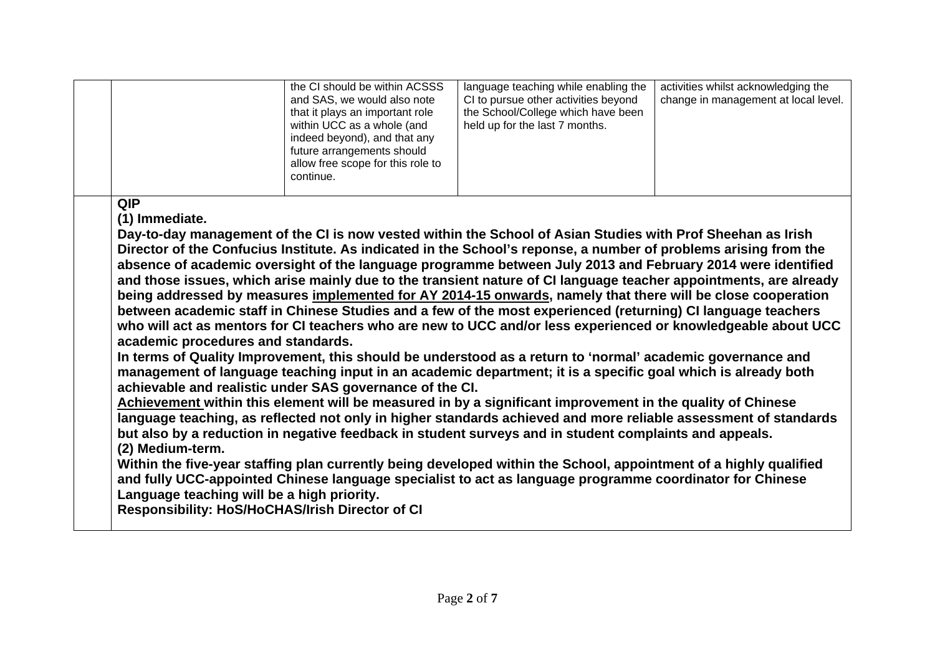|                                                  |                                                                                  | the CI should be within ACSSS<br>and SAS, we would also note<br>that it plays an important role<br>within UCC as a whole (and<br>indeed beyond), and that any<br>future arrangements should<br>allow free scope for this role to<br>continue. | language teaching while enabling the<br>CI to pursue other activities beyond<br>the School/College which have been<br>held up for the last 7 months.                                                                                                                                                                                                                                                                                                                                                                                                                                                                                                                                                                                                                                                                                                                                                                                                                                                                                                                                                                                                                                                                                                                                                                                                                                                                                                                                                                                                                                                                          | activities whilst acknowledging the<br>change in management at local level. |
|--------------------------------------------------|----------------------------------------------------------------------------------|-----------------------------------------------------------------------------------------------------------------------------------------------------------------------------------------------------------------------------------------------|-------------------------------------------------------------------------------------------------------------------------------------------------------------------------------------------------------------------------------------------------------------------------------------------------------------------------------------------------------------------------------------------------------------------------------------------------------------------------------------------------------------------------------------------------------------------------------------------------------------------------------------------------------------------------------------------------------------------------------------------------------------------------------------------------------------------------------------------------------------------------------------------------------------------------------------------------------------------------------------------------------------------------------------------------------------------------------------------------------------------------------------------------------------------------------------------------------------------------------------------------------------------------------------------------------------------------------------------------------------------------------------------------------------------------------------------------------------------------------------------------------------------------------------------------------------------------------------------------------------------------------|-----------------------------------------------------------------------------|
| <b>QIP</b><br>(1) Immediate.<br>(2) Medium-term. | academic procedures and standards.<br>Language teaching will be a high priority. | achievable and realistic under SAS governance of the CI.<br>Responsibility: HoS/HoCHAS/Irish Director of CI                                                                                                                                   | Day-to-day management of the CI is now vested within the School of Asian Studies with Prof Sheehan as Irish<br>Director of the Confucius Institute. As indicated in the School's reponse, a number of problems arising from the<br>absence of academic oversight of the language programme between July 2013 and February 2014 were identified<br>and those issues, which arise mainly due to the transient nature of CI language teacher appointments, are already<br>being addressed by measures implemented for AY 2014-15 onwards, namely that there will be close cooperation<br>between academic staff in Chinese Studies and a few of the most experienced (returning) CI language teachers<br>who will act as mentors for CI teachers who are new to UCC and/or less experienced or knowledgeable about UCC<br>In terms of Quality Improvement, this should be understood as a return to 'normal' academic governance and<br>management of language teaching input in an academic department; it is a specific goal which is already both<br>Achievement within this element will be measured in by a significant improvement in the quality of Chinese<br>language teaching, as reflected not only in higher standards achieved and more reliable assessment of standards<br>but also by a reduction in negative feedback in student surveys and in student complaints and appeals.<br>Within the five-year staffing plan currently being developed within the School, appointment of a highly qualified<br>and fully UCC-appointed Chinese language specialist to act as language programme coordinator for Chinese |                                                                             |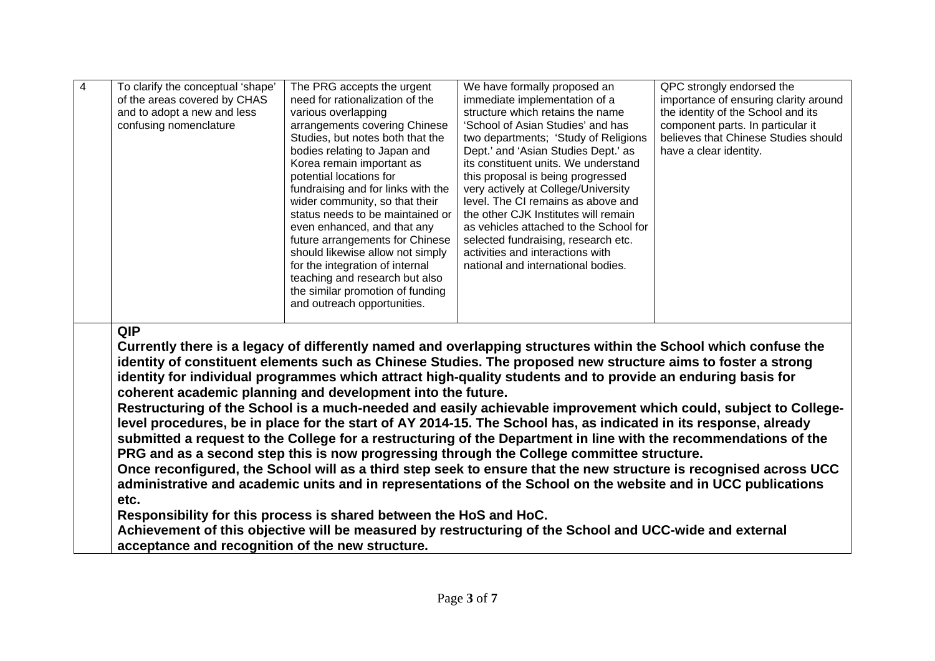| $\overline{4}$ | To clarify the conceptual 'shape'<br>of the areas covered by CHAS<br>and to adopt a new and less<br>confusing nomenclature | The PRG accepts the urgent<br>need for rationalization of the<br>various overlapping<br>arrangements covering Chinese<br>Studies, but notes both that the<br>bodies relating to Japan and<br>Korea remain important as<br>potential locations for<br>fundraising and for links with the<br>wider community, so that their<br>status needs to be maintained or<br>even enhanced, and that any<br>future arrangements for Chinese<br>should likewise allow not simply<br>for the integration of internal<br>teaching and research but also<br>the similar promotion of funding<br>and outreach opportunities. | We have formally proposed an<br>immediate implementation of a<br>structure which retains the name<br>'School of Asian Studies' and has<br>two departments; 'Study of Religions<br>Dept.' and 'Asian Studies Dept.' as<br>its constituent units. We understand<br>this proposal is being progressed<br>very actively at College/University<br>level. The CI remains as above and<br>the other CJK Institutes will remain<br>as vehicles attached to the School for<br>selected fundraising, research etc.<br>activities and interactions with<br>national and international bodies.                                                                                                                                                                                                                                                                                                                                                                                                                                                                                                                                                                      | QPC strongly endorsed the<br>importance of ensuring clarity around<br>the identity of the School and its<br>component parts. In particular it<br>believes that Chinese Studies should<br>have a clear identity. |
|----------------|----------------------------------------------------------------------------------------------------------------------------|-------------------------------------------------------------------------------------------------------------------------------------------------------------------------------------------------------------------------------------------------------------------------------------------------------------------------------------------------------------------------------------------------------------------------------------------------------------------------------------------------------------------------------------------------------------------------------------------------------------|---------------------------------------------------------------------------------------------------------------------------------------------------------------------------------------------------------------------------------------------------------------------------------------------------------------------------------------------------------------------------------------------------------------------------------------------------------------------------------------------------------------------------------------------------------------------------------------------------------------------------------------------------------------------------------------------------------------------------------------------------------------------------------------------------------------------------------------------------------------------------------------------------------------------------------------------------------------------------------------------------------------------------------------------------------------------------------------------------------------------------------------------------------|-----------------------------------------------------------------------------------------------------------------------------------------------------------------------------------------------------------------|
|                | <b>QIP</b><br>etc.<br>acceptance and recognition of the new structure.                                                     | coherent academic planning and development into the future.<br>Responsibility for this process is shared between the HoS and HoC.                                                                                                                                                                                                                                                                                                                                                                                                                                                                           | Currently there is a legacy of differently named and overlapping structures within the School which confuse the<br>identity of constituent elements such as Chinese Studies. The proposed new structure aims to foster a strong<br>identity for individual programmes which attract high-quality students and to provide an enduring basis for<br>Restructuring of the School is a much-needed and easily achievable improvement which could, subject to College-<br>level procedures, be in place for the start of AY 2014-15. The School has, as indicated in its response, already<br>submitted a request to the College for a restructuring of the Department in line with the recommendations of the<br>PRG and as a second step this is now progressing through the College committee structure.<br>Once reconfigured, the School will as a third step seek to ensure that the new structure is recognised across UCC<br>administrative and academic units and in representations of the School on the website and in UCC publications<br>Achievement of this objective will be measured by restructuring of the School and UCC-wide and external |                                                                                                                                                                                                                 |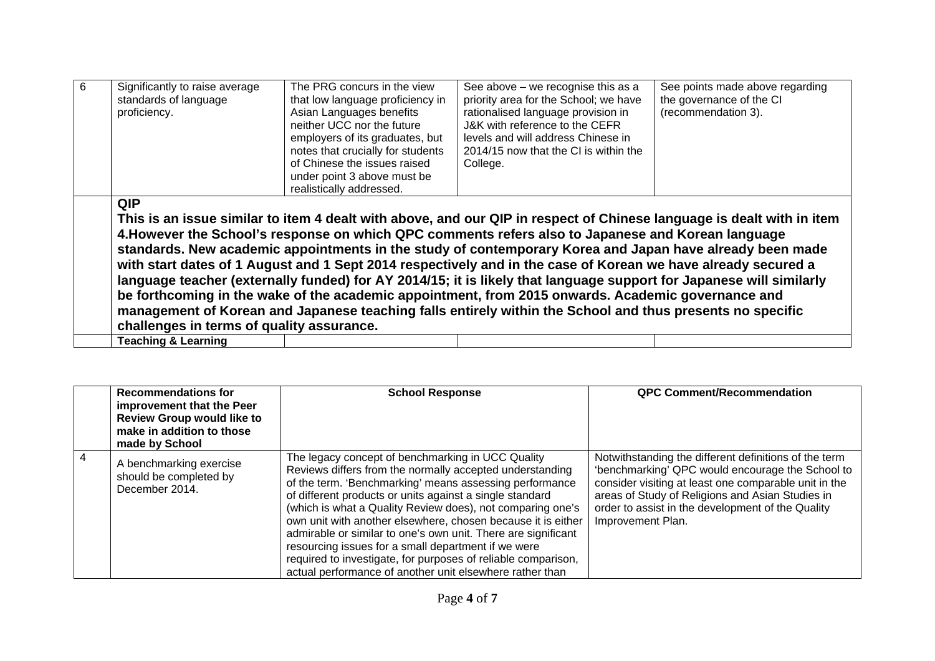| <b>QIP</b><br>This is an issue similar to item 4 dealt with above, and our QIP in respect of Chinese language is dealt with in item<br>4. However the School's response on which QPC comments refers also to Japanese and Korean language<br>standards. New academic appointments in the study of contemporary Korea and Japan have already been made<br>with start dates of 1 August and 1 Sept 2014 respectively and in the case of Korean we have already secured a<br>language teacher (externally funded) for AY 2014/15; it is likely that language support for Japanese will similarly<br>be forthcoming in the wake of the academic appointment, from 2015 onwards. Academic governance and<br>management of Korean and Japanese teaching falls entirely within the School and thus presents no specific<br>challenges in terms of quality assurance. | 6 | Significantly to raise average<br>standards of language<br>proficiency. | The PRG concurs in the view<br>that low language proficiency in<br>Asian Languages benefits<br>neither UCC nor the future<br>employers of its graduates, but<br>notes that crucially for students<br>of Chinese the issues raised<br>under point 3 above must be<br>realistically addressed. | See above - we recognise this as a<br>priority area for the School; we have<br>rationalised language provision in<br>J&K with reference to the CEFR<br>levels and will address Chinese in<br>2014/15 now that the CI is within the<br>College. | See points made above regarding<br>the governance of the CI<br>(recommendation 3). |
|---------------------------------------------------------------------------------------------------------------------------------------------------------------------------------------------------------------------------------------------------------------------------------------------------------------------------------------------------------------------------------------------------------------------------------------------------------------------------------------------------------------------------------------------------------------------------------------------------------------------------------------------------------------------------------------------------------------------------------------------------------------------------------------------------------------------------------------------------------------|---|-------------------------------------------------------------------------|----------------------------------------------------------------------------------------------------------------------------------------------------------------------------------------------------------------------------------------------------------------------------------------------|------------------------------------------------------------------------------------------------------------------------------------------------------------------------------------------------------------------------------------------------|------------------------------------------------------------------------------------|
| <b>Teaching &amp; Learning</b>                                                                                                                                                                                                                                                                                                                                                                                                                                                                                                                                                                                                                                                                                                                                                                                                                                |   |                                                                         |                                                                                                                                                                                                                                                                                              |                                                                                                                                                                                                                                                |                                                                                    |

|   | <b>Recommendations for</b><br>improvement that the Peer<br><b>Review Group would like to</b><br>make in addition to those<br>made by School | <b>School Response</b>                                                                                                                                                                                                                                                                                                                                                                                                                                                                                                                                                                                                  | <b>QPC Comment/Recommendation</b>                                                                                                                                                                                                                                                                |
|---|---------------------------------------------------------------------------------------------------------------------------------------------|-------------------------------------------------------------------------------------------------------------------------------------------------------------------------------------------------------------------------------------------------------------------------------------------------------------------------------------------------------------------------------------------------------------------------------------------------------------------------------------------------------------------------------------------------------------------------------------------------------------------------|--------------------------------------------------------------------------------------------------------------------------------------------------------------------------------------------------------------------------------------------------------------------------------------------------|
| 4 | A benchmarking exercise<br>should be completed by<br>December 2014.                                                                         | The legacy concept of benchmarking in UCC Quality<br>Reviews differs from the normally accepted understanding<br>of the term. 'Benchmarking' means assessing performance<br>of different products or units against a single standard<br>(which is what a Quality Review does), not comparing one's<br>own unit with another elsewhere, chosen because it is either<br>admirable or similar to one's own unit. There are significant<br>resourcing issues for a small department if we were<br>required to investigate, for purposes of reliable comparison,<br>actual performance of another unit elsewhere rather than | Notwithstanding the different definitions of the term<br>'benchmarking' QPC would encourage the School to<br>consider visiting at least one comparable unit in the<br>areas of Study of Religions and Asian Studies in<br>order to assist in the development of the Quality<br>Improvement Plan. |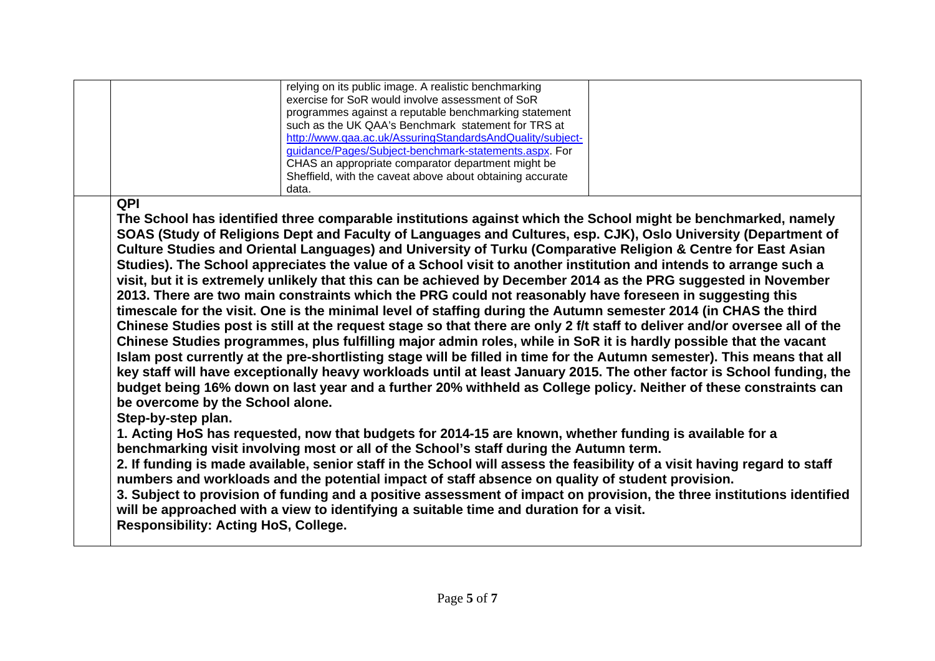|                                                                                                              | relying on its public image. A realistic benchmarking<br>exercise for SoR would involve assessment of SoR<br>programmes against a reputable benchmarking statement<br>such as the UK QAA's Benchmark statement for TRS at<br>http://www.qaa.ac.uk/AssuringStandardsAndQuality/subject-<br>guidance/Pages/Subject-benchmark-statements.aspx. For<br>CHAS an appropriate comparator department might be<br>Sheffield, with the caveat above about obtaining accurate                                                                                                                                                                                                                                                                                                                                                                                                                                                                                                                                                                                                                                                                                                                                                                                                                                                                                                                                                                                                                                                                                                                                                                                                                                                                                                                                                                                                                                                                                                                                                                                                                                                        |  |
|--------------------------------------------------------------------------------------------------------------|---------------------------------------------------------------------------------------------------------------------------------------------------------------------------------------------------------------------------------------------------------------------------------------------------------------------------------------------------------------------------------------------------------------------------------------------------------------------------------------------------------------------------------------------------------------------------------------------------------------------------------------------------------------------------------------------------------------------------------------------------------------------------------------------------------------------------------------------------------------------------------------------------------------------------------------------------------------------------------------------------------------------------------------------------------------------------------------------------------------------------------------------------------------------------------------------------------------------------------------------------------------------------------------------------------------------------------------------------------------------------------------------------------------------------------------------------------------------------------------------------------------------------------------------------------------------------------------------------------------------------------------------------------------------------------------------------------------------------------------------------------------------------------------------------------------------------------------------------------------------------------------------------------------------------------------------------------------------------------------------------------------------------------------------------------------------------------------------------------------------------|--|
| QPI<br>be overcome by the School alone.<br>Step-by-step plan.<br><b>Responsibility: Acting HoS, College.</b> | data.<br>The School has identified three comparable institutions against which the School might be benchmarked, namely<br>SOAS (Study of Religions Dept and Faculty of Languages and Cultures, esp. CJK), Oslo University (Department of<br>Culture Studies and Oriental Languages) and University of Turku (Comparative Religion & Centre for East Asian<br>Studies). The School appreciates the value of a School visit to another institution and intends to arrange such a<br>visit, but it is extremely unlikely that this can be achieved by December 2014 as the PRG suggested in November<br>2013. There are two main constraints which the PRG could not reasonably have foreseen in suggesting this<br>timescale for the visit. One is the minimal level of staffing during the Autumn semester 2014 (in CHAS the third<br>Chinese Studies post is still at the request stage so that there are only 2 f/t staff to deliver and/or oversee all of the<br>Chinese Studies programmes, plus fulfilling major admin roles, while in SoR it is hardly possible that the vacant<br>Islam post currently at the pre-shortlisting stage will be filled in time for the Autumn semester). This means that all<br>key staff will have exceptionally heavy workloads until at least January 2015. The other factor is School funding, the<br>budget being 16% down on last year and a further 20% withheld as College policy. Neither of these constraints can<br>1. Acting HoS has requested, now that budgets for 2014-15 are known, whether funding is available for a<br>benchmarking visit involving most or all of the School's staff during the Autumn term.<br>2. If funding is made available, senior staff in the School will assess the feasibility of a visit having regard to staff<br>numbers and workloads and the potential impact of staff absence on quality of student provision.<br>3. Subject to provision of funding and a positive assessment of impact on provision, the three institutions identified<br>will be approached with a view to identifying a suitable time and duration for a visit. |  |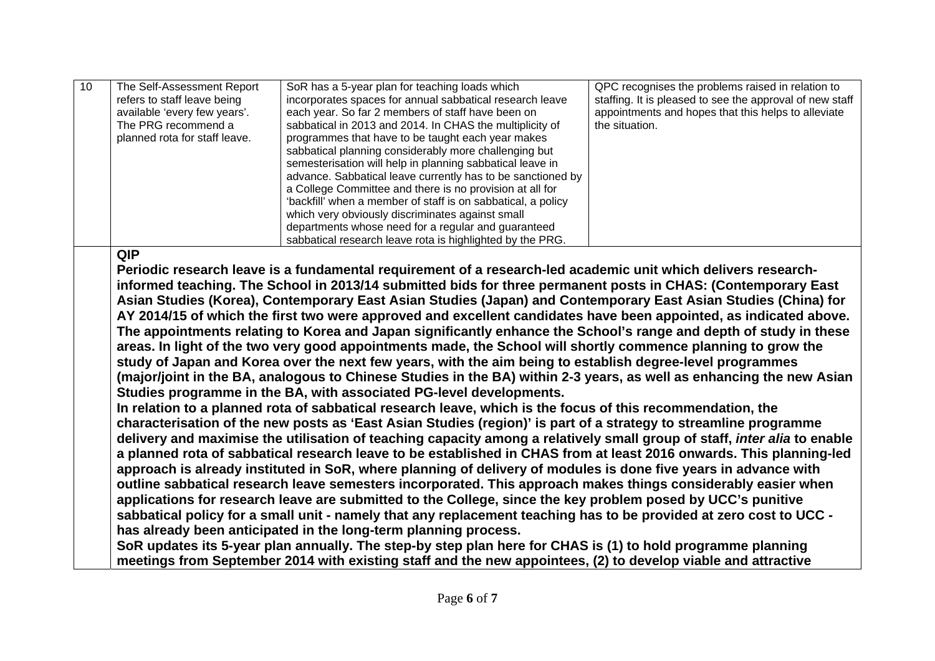| The Self-Assessment Report<br>staffing. It is pleased to see the approval of new staff<br>refers to staff leave being<br>incorporates spaces for annual sabbatical research leave<br>appointments and hopes that this helps to alleviate<br>available 'every few years'.<br>each year. So far 2 members of staff have been on<br>The PRG recommend a<br>sabbatical in 2013 and 2014. In CHAS the multiplicity of<br>the situation.<br>planned rota for staff leave.<br>programmes that have to be taught each year makes<br>sabbatical planning considerably more challenging but<br>semesterisation will help in planning sabbatical leave in<br>advance. Sabbatical leave currently has to be sanctioned by<br>a College Committee and there is no provision at all for<br>'backfill' when a member of staff is on sabbatical, a policy<br>which very obviously discriminates against small<br>departments whose need for a regular and guaranteed<br>sabbatical research leave rota is highlighted by the PRG.<br><b>QIP</b><br>Periodic research leave is a fundamental requirement of a research-led academic unit which delivers research-<br>informed teaching. The School in 2013/14 submitted bids for three permanent posts in CHAS: (Contemporary East<br>Asian Studies (Korea), Contemporary East Asian Studies (Japan) and Contemporary East Asian Studies (China) for<br>AY 2014/15 of which the first two were approved and excellent candidates have been appointed, as indicated above.<br>The appointments relating to Korea and Japan significantly enhance the School's range and depth of study in these<br>areas. In light of the two very good appointments made, the School will shortly commence planning to grow the<br>study of Japan and Korea over the next few years, with the aim being to establish degree-level programmes<br>(major/joint in the BA, analogous to Chinese Studies in the BA) within 2-3 years, as well as enhancing the new Asian<br>Studies programme in the BA, with associated PG-level developments.<br>In relation to a planned rota of sabbatical research leave, which is the focus of this recommendation, the<br>characterisation of the new posts as 'East Asian Studies (region)' is part of a strategy to streamline programme<br>delivery and maximise the utilisation of teaching capacity among a relatively small group of staff, <i>inter alia</i> to enable<br>a planned rota of sabbatical research leave to be established in CHAS from at least 2016 onwards. This planning-led<br>approach is already instituted in SoR, where planning of delivery of modules is done five years in advance with<br>outline sabbatical research leave semesters incorporated. This approach makes things considerably easier when<br>applications for research leave are submitted to the College, since the key problem posed by UCC's punitive<br>sabbatical policy for a small unit - namely that any replacement teaching has to be provided at zero cost to UCC -<br>has already been anticipated in the long-term planning process.<br>SoR updates its 5-year plan annually. The step-by step plan here for CHAS is (1) to hold programme planning<br>meetings from September 2014 with existing staff and the new appointees, (2) to develop viable and attractive | 10 | SoR has a 5-year plan for teaching loads which | QPC recognises the problems raised in relation to |
|------------------------------------------------------------------------------------------------------------------------------------------------------------------------------------------------------------------------------------------------------------------------------------------------------------------------------------------------------------------------------------------------------------------------------------------------------------------------------------------------------------------------------------------------------------------------------------------------------------------------------------------------------------------------------------------------------------------------------------------------------------------------------------------------------------------------------------------------------------------------------------------------------------------------------------------------------------------------------------------------------------------------------------------------------------------------------------------------------------------------------------------------------------------------------------------------------------------------------------------------------------------------------------------------------------------------------------------------------------------------------------------------------------------------------------------------------------------------------------------------------------------------------------------------------------------------------------------------------------------------------------------------------------------------------------------------------------------------------------------------------------------------------------------------------------------------------------------------------------------------------------------------------------------------------------------------------------------------------------------------------------------------------------------------------------------------------------------------------------------------------------------------------------------------------------------------------------------------------------------------------------------------------------------------------------------------------------------------------------------------------------------------------------------------------------------------------------------------------------------------------------------------------------------------------------------------------------------------------------------------------------------------------------------------------------------------------------------------------------------------------------------------------------------------------------------------------------------------------------------------------------------------------------------------------------------------------------------------------------------------------------------------------------------------------------------------------------------------------------------------------------------------------------------------------------------------------------------------------------------------------------------------------------------------------------------------------------|----|------------------------------------------------|---------------------------------------------------|
|                                                                                                                                                                                                                                                                                                                                                                                                                                                                                                                                                                                                                                                                                                                                                                                                                                                                                                                                                                                                                                                                                                                                                                                                                                                                                                                                                                                                                                                                                                                                                                                                                                                                                                                                                                                                                                                                                                                                                                                                                                                                                                                                                                                                                                                                                                                                                                                                                                                                                                                                                                                                                                                                                                                                                                                                                                                                                                                                                                                                                                                                                                                                                                                                                                                                                                                                    |    |                                                |                                                   |
|                                                                                                                                                                                                                                                                                                                                                                                                                                                                                                                                                                                                                                                                                                                                                                                                                                                                                                                                                                                                                                                                                                                                                                                                                                                                                                                                                                                                                                                                                                                                                                                                                                                                                                                                                                                                                                                                                                                                                                                                                                                                                                                                                                                                                                                                                                                                                                                                                                                                                                                                                                                                                                                                                                                                                                                                                                                                                                                                                                                                                                                                                                                                                                                                                                                                                                                                    |    |                                                |                                                   |
|                                                                                                                                                                                                                                                                                                                                                                                                                                                                                                                                                                                                                                                                                                                                                                                                                                                                                                                                                                                                                                                                                                                                                                                                                                                                                                                                                                                                                                                                                                                                                                                                                                                                                                                                                                                                                                                                                                                                                                                                                                                                                                                                                                                                                                                                                                                                                                                                                                                                                                                                                                                                                                                                                                                                                                                                                                                                                                                                                                                                                                                                                                                                                                                                                                                                                                                                    |    |                                                |                                                   |
|                                                                                                                                                                                                                                                                                                                                                                                                                                                                                                                                                                                                                                                                                                                                                                                                                                                                                                                                                                                                                                                                                                                                                                                                                                                                                                                                                                                                                                                                                                                                                                                                                                                                                                                                                                                                                                                                                                                                                                                                                                                                                                                                                                                                                                                                                                                                                                                                                                                                                                                                                                                                                                                                                                                                                                                                                                                                                                                                                                                                                                                                                                                                                                                                                                                                                                                                    |    |                                                |                                                   |
|                                                                                                                                                                                                                                                                                                                                                                                                                                                                                                                                                                                                                                                                                                                                                                                                                                                                                                                                                                                                                                                                                                                                                                                                                                                                                                                                                                                                                                                                                                                                                                                                                                                                                                                                                                                                                                                                                                                                                                                                                                                                                                                                                                                                                                                                                                                                                                                                                                                                                                                                                                                                                                                                                                                                                                                                                                                                                                                                                                                                                                                                                                                                                                                                                                                                                                                                    |    |                                                |                                                   |
|                                                                                                                                                                                                                                                                                                                                                                                                                                                                                                                                                                                                                                                                                                                                                                                                                                                                                                                                                                                                                                                                                                                                                                                                                                                                                                                                                                                                                                                                                                                                                                                                                                                                                                                                                                                                                                                                                                                                                                                                                                                                                                                                                                                                                                                                                                                                                                                                                                                                                                                                                                                                                                                                                                                                                                                                                                                                                                                                                                                                                                                                                                                                                                                                                                                                                                                                    |    |                                                |                                                   |
|                                                                                                                                                                                                                                                                                                                                                                                                                                                                                                                                                                                                                                                                                                                                                                                                                                                                                                                                                                                                                                                                                                                                                                                                                                                                                                                                                                                                                                                                                                                                                                                                                                                                                                                                                                                                                                                                                                                                                                                                                                                                                                                                                                                                                                                                                                                                                                                                                                                                                                                                                                                                                                                                                                                                                                                                                                                                                                                                                                                                                                                                                                                                                                                                                                                                                                                                    |    |                                                |                                                   |
|                                                                                                                                                                                                                                                                                                                                                                                                                                                                                                                                                                                                                                                                                                                                                                                                                                                                                                                                                                                                                                                                                                                                                                                                                                                                                                                                                                                                                                                                                                                                                                                                                                                                                                                                                                                                                                                                                                                                                                                                                                                                                                                                                                                                                                                                                                                                                                                                                                                                                                                                                                                                                                                                                                                                                                                                                                                                                                                                                                                                                                                                                                                                                                                                                                                                                                                                    |    |                                                |                                                   |
|                                                                                                                                                                                                                                                                                                                                                                                                                                                                                                                                                                                                                                                                                                                                                                                                                                                                                                                                                                                                                                                                                                                                                                                                                                                                                                                                                                                                                                                                                                                                                                                                                                                                                                                                                                                                                                                                                                                                                                                                                                                                                                                                                                                                                                                                                                                                                                                                                                                                                                                                                                                                                                                                                                                                                                                                                                                                                                                                                                                                                                                                                                                                                                                                                                                                                                                                    |    |                                                |                                                   |
|                                                                                                                                                                                                                                                                                                                                                                                                                                                                                                                                                                                                                                                                                                                                                                                                                                                                                                                                                                                                                                                                                                                                                                                                                                                                                                                                                                                                                                                                                                                                                                                                                                                                                                                                                                                                                                                                                                                                                                                                                                                                                                                                                                                                                                                                                                                                                                                                                                                                                                                                                                                                                                                                                                                                                                                                                                                                                                                                                                                                                                                                                                                                                                                                                                                                                                                                    |    |                                                |                                                   |
|                                                                                                                                                                                                                                                                                                                                                                                                                                                                                                                                                                                                                                                                                                                                                                                                                                                                                                                                                                                                                                                                                                                                                                                                                                                                                                                                                                                                                                                                                                                                                                                                                                                                                                                                                                                                                                                                                                                                                                                                                                                                                                                                                                                                                                                                                                                                                                                                                                                                                                                                                                                                                                                                                                                                                                                                                                                                                                                                                                                                                                                                                                                                                                                                                                                                                                                                    |    |                                                |                                                   |
|                                                                                                                                                                                                                                                                                                                                                                                                                                                                                                                                                                                                                                                                                                                                                                                                                                                                                                                                                                                                                                                                                                                                                                                                                                                                                                                                                                                                                                                                                                                                                                                                                                                                                                                                                                                                                                                                                                                                                                                                                                                                                                                                                                                                                                                                                                                                                                                                                                                                                                                                                                                                                                                                                                                                                                                                                                                                                                                                                                                                                                                                                                                                                                                                                                                                                                                                    |    |                                                |                                                   |
|                                                                                                                                                                                                                                                                                                                                                                                                                                                                                                                                                                                                                                                                                                                                                                                                                                                                                                                                                                                                                                                                                                                                                                                                                                                                                                                                                                                                                                                                                                                                                                                                                                                                                                                                                                                                                                                                                                                                                                                                                                                                                                                                                                                                                                                                                                                                                                                                                                                                                                                                                                                                                                                                                                                                                                                                                                                                                                                                                                                                                                                                                                                                                                                                                                                                                                                                    |    |                                                |                                                   |
|                                                                                                                                                                                                                                                                                                                                                                                                                                                                                                                                                                                                                                                                                                                                                                                                                                                                                                                                                                                                                                                                                                                                                                                                                                                                                                                                                                                                                                                                                                                                                                                                                                                                                                                                                                                                                                                                                                                                                                                                                                                                                                                                                                                                                                                                                                                                                                                                                                                                                                                                                                                                                                                                                                                                                                                                                                                                                                                                                                                                                                                                                                                                                                                                                                                                                                                                    |    |                                                |                                                   |
|                                                                                                                                                                                                                                                                                                                                                                                                                                                                                                                                                                                                                                                                                                                                                                                                                                                                                                                                                                                                                                                                                                                                                                                                                                                                                                                                                                                                                                                                                                                                                                                                                                                                                                                                                                                                                                                                                                                                                                                                                                                                                                                                                                                                                                                                                                                                                                                                                                                                                                                                                                                                                                                                                                                                                                                                                                                                                                                                                                                                                                                                                                                                                                                                                                                                                                                                    |    |                                                |                                                   |
|                                                                                                                                                                                                                                                                                                                                                                                                                                                                                                                                                                                                                                                                                                                                                                                                                                                                                                                                                                                                                                                                                                                                                                                                                                                                                                                                                                                                                                                                                                                                                                                                                                                                                                                                                                                                                                                                                                                                                                                                                                                                                                                                                                                                                                                                                                                                                                                                                                                                                                                                                                                                                                                                                                                                                                                                                                                                                                                                                                                                                                                                                                                                                                                                                                                                                                                                    |    |                                                |                                                   |
|                                                                                                                                                                                                                                                                                                                                                                                                                                                                                                                                                                                                                                                                                                                                                                                                                                                                                                                                                                                                                                                                                                                                                                                                                                                                                                                                                                                                                                                                                                                                                                                                                                                                                                                                                                                                                                                                                                                                                                                                                                                                                                                                                                                                                                                                                                                                                                                                                                                                                                                                                                                                                                                                                                                                                                                                                                                                                                                                                                                                                                                                                                                                                                                                                                                                                                                                    |    |                                                |                                                   |
|                                                                                                                                                                                                                                                                                                                                                                                                                                                                                                                                                                                                                                                                                                                                                                                                                                                                                                                                                                                                                                                                                                                                                                                                                                                                                                                                                                                                                                                                                                                                                                                                                                                                                                                                                                                                                                                                                                                                                                                                                                                                                                                                                                                                                                                                                                                                                                                                                                                                                                                                                                                                                                                                                                                                                                                                                                                                                                                                                                                                                                                                                                                                                                                                                                                                                                                                    |    |                                                |                                                   |
|                                                                                                                                                                                                                                                                                                                                                                                                                                                                                                                                                                                                                                                                                                                                                                                                                                                                                                                                                                                                                                                                                                                                                                                                                                                                                                                                                                                                                                                                                                                                                                                                                                                                                                                                                                                                                                                                                                                                                                                                                                                                                                                                                                                                                                                                                                                                                                                                                                                                                                                                                                                                                                                                                                                                                                                                                                                                                                                                                                                                                                                                                                                                                                                                                                                                                                                                    |    |                                                |                                                   |
|                                                                                                                                                                                                                                                                                                                                                                                                                                                                                                                                                                                                                                                                                                                                                                                                                                                                                                                                                                                                                                                                                                                                                                                                                                                                                                                                                                                                                                                                                                                                                                                                                                                                                                                                                                                                                                                                                                                                                                                                                                                                                                                                                                                                                                                                                                                                                                                                                                                                                                                                                                                                                                                                                                                                                                                                                                                                                                                                                                                                                                                                                                                                                                                                                                                                                                                                    |    |                                                |                                                   |
|                                                                                                                                                                                                                                                                                                                                                                                                                                                                                                                                                                                                                                                                                                                                                                                                                                                                                                                                                                                                                                                                                                                                                                                                                                                                                                                                                                                                                                                                                                                                                                                                                                                                                                                                                                                                                                                                                                                                                                                                                                                                                                                                                                                                                                                                                                                                                                                                                                                                                                                                                                                                                                                                                                                                                                                                                                                                                                                                                                                                                                                                                                                                                                                                                                                                                                                                    |    |                                                |                                                   |
|                                                                                                                                                                                                                                                                                                                                                                                                                                                                                                                                                                                                                                                                                                                                                                                                                                                                                                                                                                                                                                                                                                                                                                                                                                                                                                                                                                                                                                                                                                                                                                                                                                                                                                                                                                                                                                                                                                                                                                                                                                                                                                                                                                                                                                                                                                                                                                                                                                                                                                                                                                                                                                                                                                                                                                                                                                                                                                                                                                                                                                                                                                                                                                                                                                                                                                                                    |    |                                                |                                                   |
|                                                                                                                                                                                                                                                                                                                                                                                                                                                                                                                                                                                                                                                                                                                                                                                                                                                                                                                                                                                                                                                                                                                                                                                                                                                                                                                                                                                                                                                                                                                                                                                                                                                                                                                                                                                                                                                                                                                                                                                                                                                                                                                                                                                                                                                                                                                                                                                                                                                                                                                                                                                                                                                                                                                                                                                                                                                                                                                                                                                                                                                                                                                                                                                                                                                                                                                                    |    |                                                |                                                   |
|                                                                                                                                                                                                                                                                                                                                                                                                                                                                                                                                                                                                                                                                                                                                                                                                                                                                                                                                                                                                                                                                                                                                                                                                                                                                                                                                                                                                                                                                                                                                                                                                                                                                                                                                                                                                                                                                                                                                                                                                                                                                                                                                                                                                                                                                                                                                                                                                                                                                                                                                                                                                                                                                                                                                                                                                                                                                                                                                                                                                                                                                                                                                                                                                                                                                                                                                    |    |                                                |                                                   |
|                                                                                                                                                                                                                                                                                                                                                                                                                                                                                                                                                                                                                                                                                                                                                                                                                                                                                                                                                                                                                                                                                                                                                                                                                                                                                                                                                                                                                                                                                                                                                                                                                                                                                                                                                                                                                                                                                                                                                                                                                                                                                                                                                                                                                                                                                                                                                                                                                                                                                                                                                                                                                                                                                                                                                                                                                                                                                                                                                                                                                                                                                                                                                                                                                                                                                                                                    |    |                                                |                                                   |
|                                                                                                                                                                                                                                                                                                                                                                                                                                                                                                                                                                                                                                                                                                                                                                                                                                                                                                                                                                                                                                                                                                                                                                                                                                                                                                                                                                                                                                                                                                                                                                                                                                                                                                                                                                                                                                                                                                                                                                                                                                                                                                                                                                                                                                                                                                                                                                                                                                                                                                                                                                                                                                                                                                                                                                                                                                                                                                                                                                                                                                                                                                                                                                                                                                                                                                                                    |    |                                                |                                                   |
|                                                                                                                                                                                                                                                                                                                                                                                                                                                                                                                                                                                                                                                                                                                                                                                                                                                                                                                                                                                                                                                                                                                                                                                                                                                                                                                                                                                                                                                                                                                                                                                                                                                                                                                                                                                                                                                                                                                                                                                                                                                                                                                                                                                                                                                                                                                                                                                                                                                                                                                                                                                                                                                                                                                                                                                                                                                                                                                                                                                                                                                                                                                                                                                                                                                                                                                                    |    |                                                |                                                   |
|                                                                                                                                                                                                                                                                                                                                                                                                                                                                                                                                                                                                                                                                                                                                                                                                                                                                                                                                                                                                                                                                                                                                                                                                                                                                                                                                                                                                                                                                                                                                                                                                                                                                                                                                                                                                                                                                                                                                                                                                                                                                                                                                                                                                                                                                                                                                                                                                                                                                                                                                                                                                                                                                                                                                                                                                                                                                                                                                                                                                                                                                                                                                                                                                                                                                                                                                    |    |                                                |                                                   |